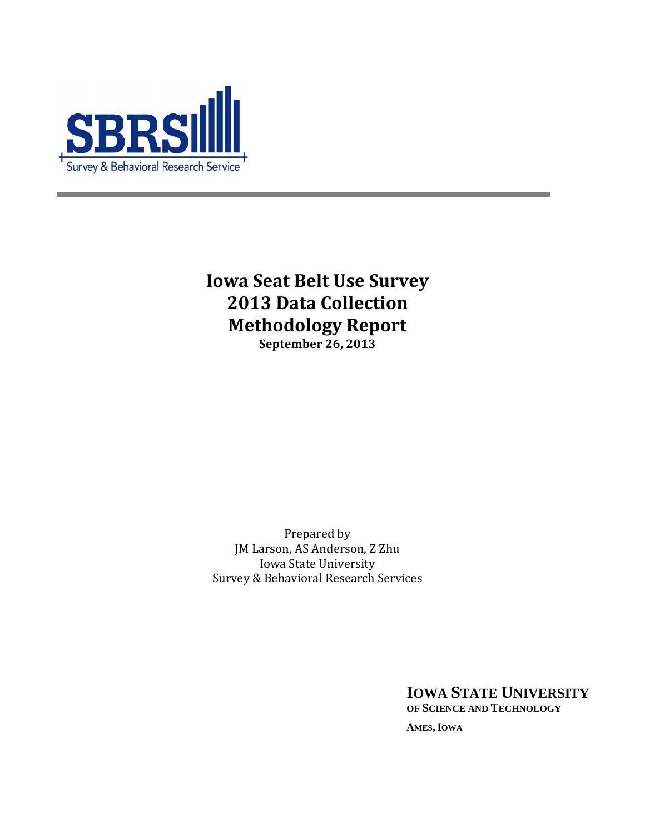

**Iowa Seat Belt Use Survey 2013 Data Collection Methodology Report September 26, 2013** 

Prepared by JM Larson, AS Anderson, Z Zhu Iowa State University Survey & Behavioral Research Services

> **IOWA STATE UNIVERSITY OF SCIENCE AND TECHNOLOGY AMES, IOWA**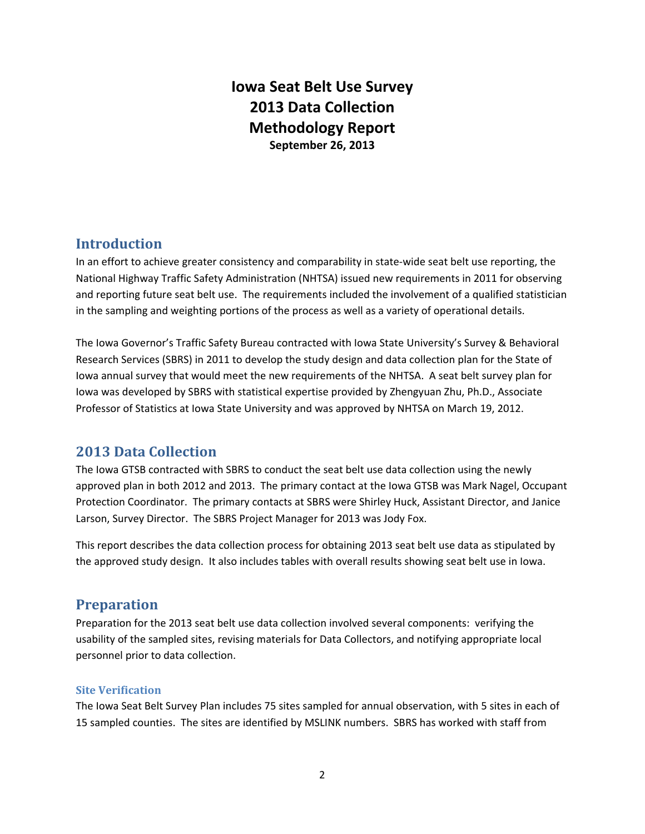# **Iowa Seat Belt Use Survey 2013 Data Collection Methodology Report September 26, 2013**

# **Introduction**

In an effort to achieve greater consistency and comparability in state-wide seat belt use reporting, the National Highway Traffic Safety Administration (NHTSA) issued new requirements in 2011 for observing and reporting future seat belt use. The requirements included the involvement of a qualified statistician in the sampling and weighting portions of the process as well as a variety of operational details.

The Iowa Governor's Traffic Safety Bureau contracted with Iowa State University's Survey & Behavioral Research Services (SBRS) in 2011 to develop the study design and data collection plan for the State of Iowa annual survey that would meet the new requirements of the NHTSA. A seat belt survey plan for Iowa was developed by SBRS with statistical expertise provided by Zhengyuan Zhu, Ph.D., Associate Professor of Statistics at Iowa State University and was approved by NHTSA on March 19, 2012.

# **2013 Data Collection**

The Iowa GTSB contracted with SBRS to conduct the seat belt use data collection using the newly approved plan in both 2012 and 2013. The primary contact at the Iowa GTSB was Mark Nagel, Occupant Protection Coordinator. The primary contacts at SBRS were Shirley Huck, Assistant Director, and Janice Larson, Survey Director. The SBRS Project Manager for 2013 was Jody Fox.

This report describes the data collection process for obtaining 2013 seat belt use data as stipulated by the approved study design. It also includes tables with overall results showing seat belt use in Iowa.

# **Preparation**

Preparation for the 2013 seat belt use data collection involved several components: verifying the usability of the sampled sites, revising materials for Data Collectors, and notifying appropriate local personnel prior to data collection.

#### **Site Verification**

The Iowa Seat Belt Survey Plan includes 75 sites sampled for annual observation, with 5 sites in each of 15 sampled counties. The sites are identified by MSLINK numbers. SBRS has worked with staff from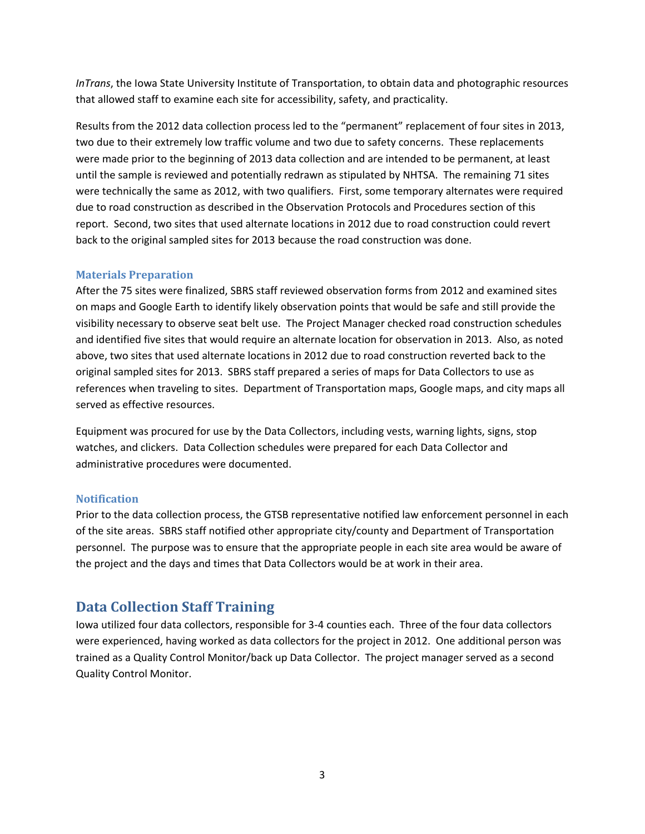*InTrans*, the Iowa State University Institute of Transportation, to obtain data and photographic resources that allowed staff to examine each site for accessibility, safety, and practicality.

Results from the 2012 data collection process led to the "permanent" replacement of four sites in 2013, two due to their extremely low traffic volume and two due to safety concerns. These replacements were made prior to the beginning of 2013 data collection and are intended to be permanent, at least until the sample is reviewed and potentially redrawn as stipulated by NHTSA. The remaining 71 sites were technically the same as 2012, with two qualifiers. First, some temporary alternates were required due to road construction as described in the Observation Protocols and Procedures section of this report. Second, two sites that used alternate locations in 2012 due to road construction could revert back to the original sampled sites for 2013 because the road construction was done.

#### **Materials Preparation**

After the 75 sites were finalized, SBRS staff reviewed observation forms from 2012 and examined sites on maps and Google Earth to identify likely observation points that would be safe and still provide the visibility necessary to observe seat belt use. The Project Manager checked road construction schedules and identified five sites that would require an alternate location for observation in 2013. Also, as noted above, two sites that used alternate locations in 2012 due to road construction reverted back to the original sampled sites for 2013. SBRS staff prepared a series of maps for Data Collectors to use as references when traveling to sites. Department of Transportation maps, Google maps, and city maps all served as effective resources.

Equipment was procured for use by the Data Collectors, including vests, warning lights, signs, stop watches, and clickers. Data Collection schedules were prepared for each Data Collector and administrative procedures were documented.

#### **Notification**

Prior to the data collection process, the GTSB representative notified law enforcement personnel in each of the site areas. SBRS staff notified other appropriate city/county and Department of Transportation personnel. The purpose was to ensure that the appropriate people in each site area would be aware of the project and the days and times that Data Collectors would be at work in their area.

# **Data Collection Staff Training**

Iowa utilized four data collectors, responsible for 3-4 counties each. Three of the four data collectors were experienced, having worked as data collectors for the project in 2012. One additional person was trained as a Quality Control Monitor/back up Data Collector. The project manager served as a second Quality Control Monitor.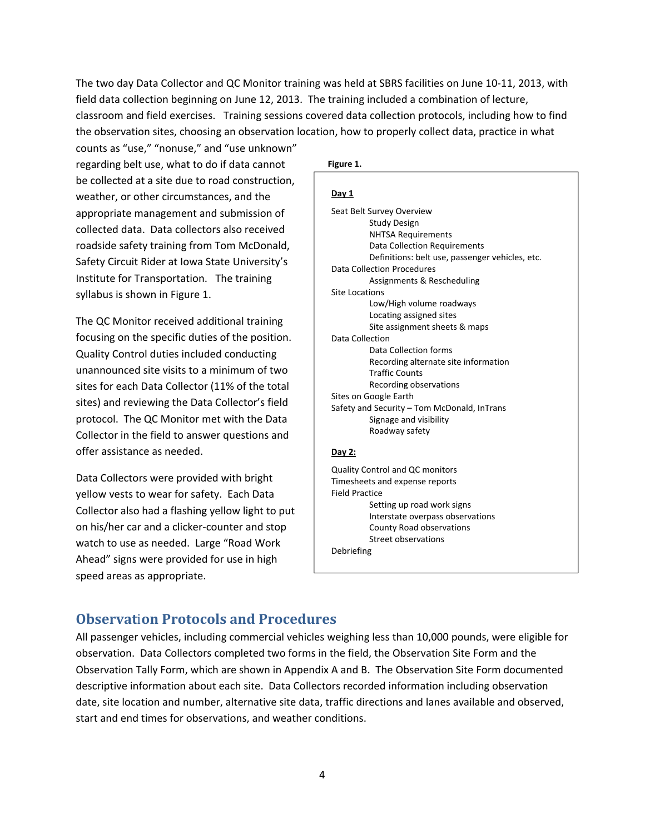The two day Data Collector and QC Monitor training was held at SBRS facilities on June 10-11, 2013, with field data collection beginning on June 12, 2013. The training included a combination of lecture, classroom and field exercises. Training sessions covered data collection protocols, including how to find the observation sites, choosing an observation location, how to properly collect data, practice in what

counts as "use," "nonuse," and "use unknown" regarding belt use, what to do if data cannot be collected at a site due to road construction, weather, or other circumstances, and the appropriate management and submission of collected data. Data collectors also received roadside safety training from Tom McDonald, Safety Circuit Rider at Iowa State University's Institute for Transportation. The training syllabus is shown in Figure 1.

The QC Monitor received additional training focusing on the specific duties of the position. Quality Control duties included conducting unannounced site visits to a minimum of two sites for each Data Collector (11% of the total sites) and reviewing the Data Collector's field protocol. The QC Monitor met with the Data Collector in the field to answer questions and offer assistance as needed.

Data Collectors were provided with bright yellow vests to wear for safety. Each Data Collector also had a flashing yellow light to put on his/her car and a clicker-counter and stop watch to use as needed. Large "Road Work Ahead" signs were provided for use in high speed areas as appropriate.

#### **Figure 1.**

| Day 1                                           |  |
|-------------------------------------------------|--|
| Seat Belt Survey Overview                       |  |
| Study Design                                    |  |
| <b>NHTSA Requirements</b>                       |  |
| Data Collection Requirements                    |  |
| Definitions: belt use, passenger vehicles, etc. |  |
| Data Collection Procedures                      |  |
| Assignments & Rescheduling                      |  |
| <b>Site Locations</b>                           |  |
| Low/High volume roadways                        |  |
| Locating assigned sites                         |  |
| Site assignment sheets & maps                   |  |
| Data Collection                                 |  |
| Data Collection forms                           |  |
| Recording alternate site information            |  |
| <b>Traffic Counts</b>                           |  |
| Recording observations                          |  |
| Sites on Google Earth                           |  |
| Safety and Security – Tom McDonald, InTrans     |  |
| Signage and visibility                          |  |
| Roadway safety                                  |  |
|                                                 |  |
| Dav 2:                                          |  |
|                                                 |  |

Quality Control and QC monitors Timesheets and expense reports Field Practice Setting up road work signs Interstate overpass observations County Road observations Street observations Debriefing

## **Observat**i**on Protocols and Procedures**

All passenger vehicles, including commercial vehicles weighing less than 10,000 pounds, were eligible for observation. Data Collectors completed two forms in the field, the Observation Site Form and the Observation Tally Form, which are shown in Appendix A and B. The Observation Site Form documented descriptive information about each site. Data Collectors recorded information including observation date, site location and number, alternative site data, traffic directions and lanes available and observed, start and end times for observations, and weather conditions.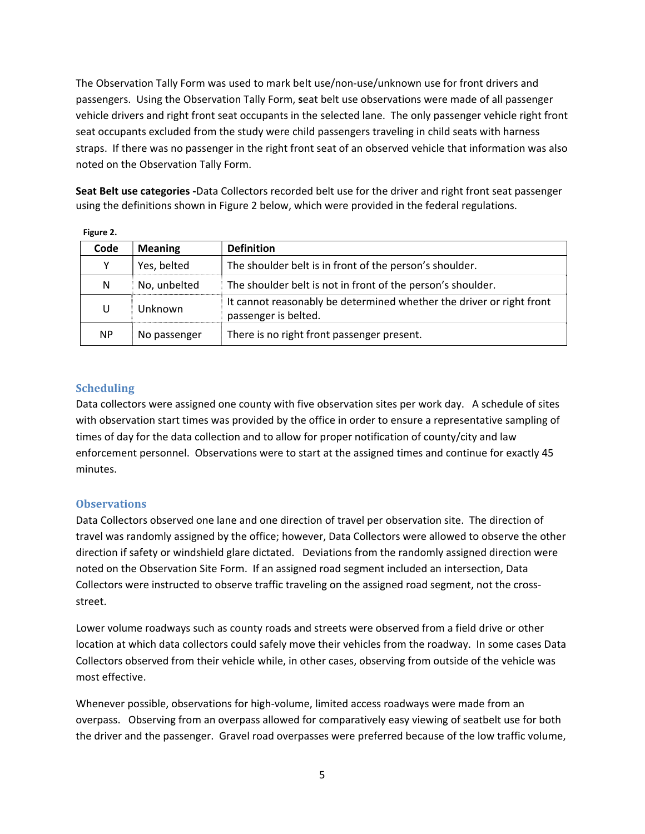The Observation Tally Form was used to mark belt use/non-use/unknown use for front drivers and passengers. Using the Observation Tally Form, **s**eat belt use observations were made of all passenger vehicle drivers and right front seat occupants in the selected lane. The only passenger vehicle right front seat occupants excluded from the study were child passengers traveling in child seats with harness straps. If there was no passenger in the right front seat of an observed vehicle that information was also noted on the Observation Tally Form.

**Seat Belt use categories -**Data Collectors recorded belt use for the driver and right front seat passenger using the definitions shown in Figure 2 below, which were provided in the federal regulations.

| Code      | <b>Meaning</b> | <b>Definition</b>                                                                            |
|-----------|----------------|----------------------------------------------------------------------------------------------|
| Y         | Yes, belted    | The shoulder belt is in front of the person's shoulder.                                      |
| N         | No, unbelted   | The shoulder belt is not in front of the person's shoulder.                                  |
| U         | Unknown        | It cannot reasonably be determined whether the driver or right front<br>passenger is belted. |
| <b>NP</b> | No passenger   | There is no right front passenger present.                                                   |

**Figure 2.** 

#### **Scheduling**

Data collectors were assigned one county with five observation sites per work day. A schedule of sites with observation start times was provided by the office in order to ensure a representative sampling of times of day for the data collection and to allow for proper notification of county/city and law enforcement personnel. Observations were to start at the assigned times and continue for exactly 45 minutes.

#### **Observations**

Data Collectors observed one lane and one direction of travel per observation site. The direction of travel was randomly assigned by the office; however, Data Collectors were allowed to observe the other direction if safety or windshield glare dictated. Deviations from the randomly assigned direction were noted on the Observation Site Form. If an assigned road segment included an intersection, Data Collectors were instructed to observe traffic traveling on the assigned road segment, not the crossstreet.

Lower volume roadways such as county roads and streets were observed from a field drive or other location at which data collectors could safely move their vehicles from the roadway. In some cases Data Collectors observed from their vehicle while, in other cases, observing from outside of the vehicle was most effective.

Whenever possible, observations for high-volume, limited access roadways were made from an overpass. Observing from an overpass allowed for comparatively easy viewing of seatbelt use for both the driver and the passenger. Gravel road overpasses were preferred because of the low traffic volume,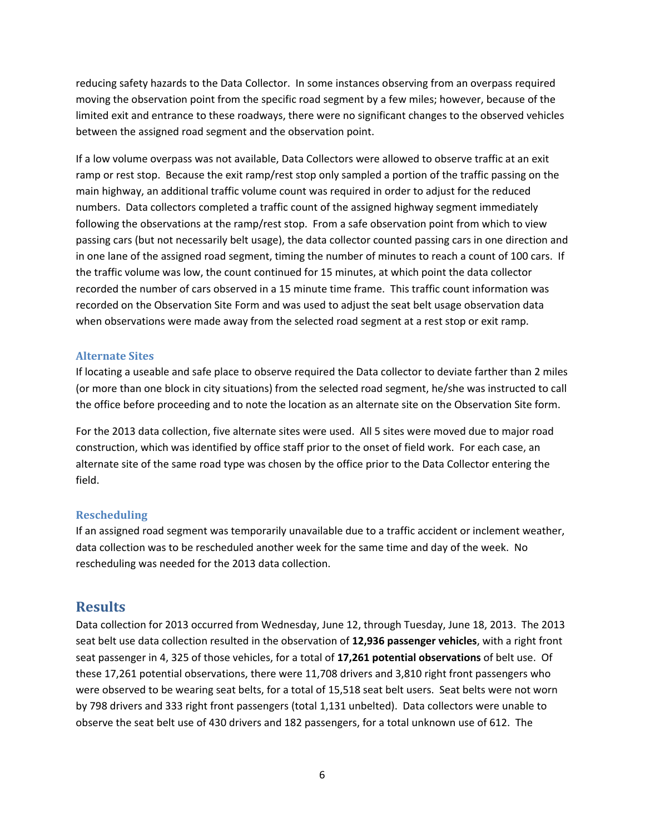reducing safety hazards to the Data Collector. In some instances observing from an overpass required moving the observation point from the specific road segment by a few miles; however, because of the limited exit and entrance to these roadways, there were no significant changes to the observed vehicles between the assigned road segment and the observation point.

If a low volume overpass was not available, Data Collectors were allowed to observe traffic at an exit ramp or rest stop. Because the exit ramp/rest stop only sampled a portion of the traffic passing on the main highway, an additional traffic volume count was required in order to adjust for the reduced numbers. Data collectors completed a traffic count of the assigned highway segment immediately following the observations at the ramp/rest stop. From a safe observation point from which to view passing cars (but not necessarily belt usage), the data collector counted passing cars in one direction and in one lane of the assigned road segment, timing the number of minutes to reach a count of 100 cars. If the traffic volume was low, the count continued for 15 minutes, at which point the data collector recorded the number of cars observed in a 15 minute time frame. This traffic count information was recorded on the Observation Site Form and was used to adjust the seat belt usage observation data when observations were made away from the selected road segment at a rest stop or exit ramp.

#### **Alternate Sites**

If locating a useable and safe place to observe required the Data collector to deviate farther than 2 miles (or more than one block in city situations) from the selected road segment, he/she was instructed to call the office before proceeding and to note the location as an alternate site on the Observation Site form.

For the 2013 data collection, five alternate sites were used. All 5 sites were moved due to major road construction, which was identified by office staff prior to the onset of field work. For each case, an alternate site of the same road type was chosen by the office prior to the Data Collector entering the field.

#### **Rescheduling**

If an assigned road segment was temporarily unavailable due to a traffic accident or inclement weather, data collection was to be rescheduled another week for the same time and day of the week. No rescheduling was needed for the 2013 data collection.

# **Results**

Data collection for 2013 occurred from Wednesday, June 12, through Tuesday, June 18, 2013. The 2013 seat belt use data collection resulted in the observation of **12,936 passenger vehicles**, with a right front seat passenger in 4, 325 of those vehicles, for a total of **17,261 potential observations** of belt use. Of these 17,261 potential observations, there were 11,708 drivers and 3,810 right front passengers who were observed to be wearing seat belts, for a total of 15,518 seat belt users. Seat belts were not worn by 798 drivers and 333 right front passengers (total 1,131 unbelted). Data collectors were unable to observe the seat belt use of 430 drivers and 182 passengers, for a total unknown use of 612. The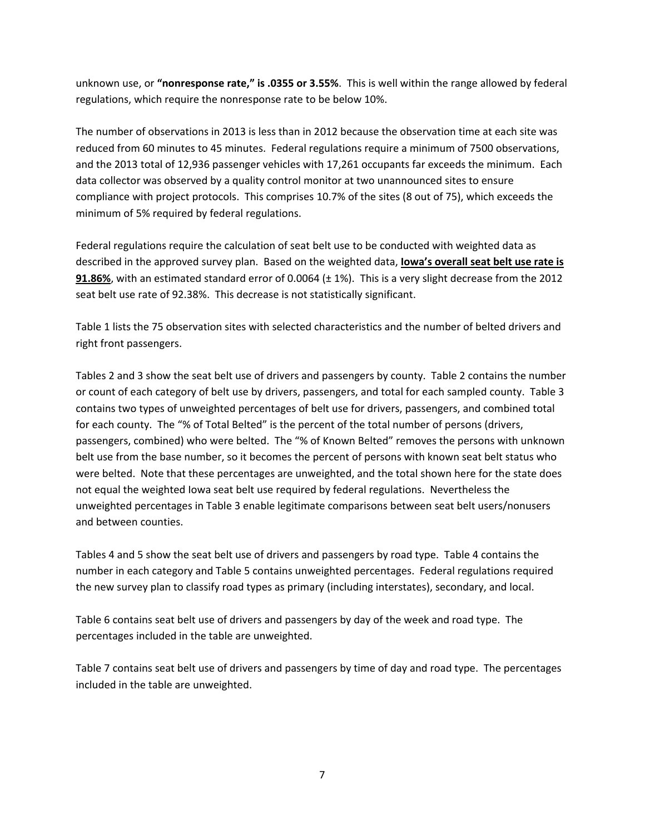unknown use, or **"nonresponse rate," is .0355 or 3.55%**. This is well within the range allowed by federal regulations, which require the nonresponse rate to be below 10%.

The number of observations in 2013 is less than in 2012 because the observation time at each site was reduced from 60 minutes to 45 minutes. Federal regulations require a minimum of 7500 observations, and the 2013 total of 12,936 passenger vehicles with 17,261 occupants far exceeds the minimum. Each data collector was observed by a quality control monitor at two unannounced sites to ensure compliance with project protocols. This comprises 10.7% of the sites (8 out of 75), which exceeds the minimum of 5% required by federal regulations.

Federal regulations require the calculation of seat belt use to be conducted with weighted data as described in the approved survey plan. Based on the weighted data, **Iowa's overall seat belt use rate is 91.86%**, with an estimated standard error of 0.0064 ( $\pm$  1%). This is a very slight decrease from the 2012 seat belt use rate of 92.38%. This decrease is not statistically significant.

Table 1 lists the 75 observation sites with selected characteristics and the number of belted drivers and right front passengers.

Tables 2 and 3 show the seat belt use of drivers and passengers by county. Table 2 contains the number or count of each category of belt use by drivers, passengers, and total for each sampled county. Table 3 contains two types of unweighted percentages of belt use for drivers, passengers, and combined total for each county. The "% of Total Belted" is the percent of the total number of persons (drivers, passengers, combined) who were belted. The "% of Known Belted" removes the persons with unknown belt use from the base number, so it becomes the percent of persons with known seat belt status who were belted. Note that these percentages are unweighted, and the total shown here for the state does not equal the weighted Iowa seat belt use required by federal regulations. Nevertheless the unweighted percentages in Table 3 enable legitimate comparisons between seat belt users/nonusers and between counties.

Tables 4 and 5 show the seat belt use of drivers and passengers by road type. Table 4 contains the number in each category and Table 5 contains unweighted percentages. Federal regulations required the new survey plan to classify road types as primary (including interstates), secondary, and local.

Table 6 contains seat belt use of drivers and passengers by day of the week and road type. The percentages included in the table are unweighted.

Table 7 contains seat belt use of drivers and passengers by time of day and road type. The percentages included in the table are unweighted.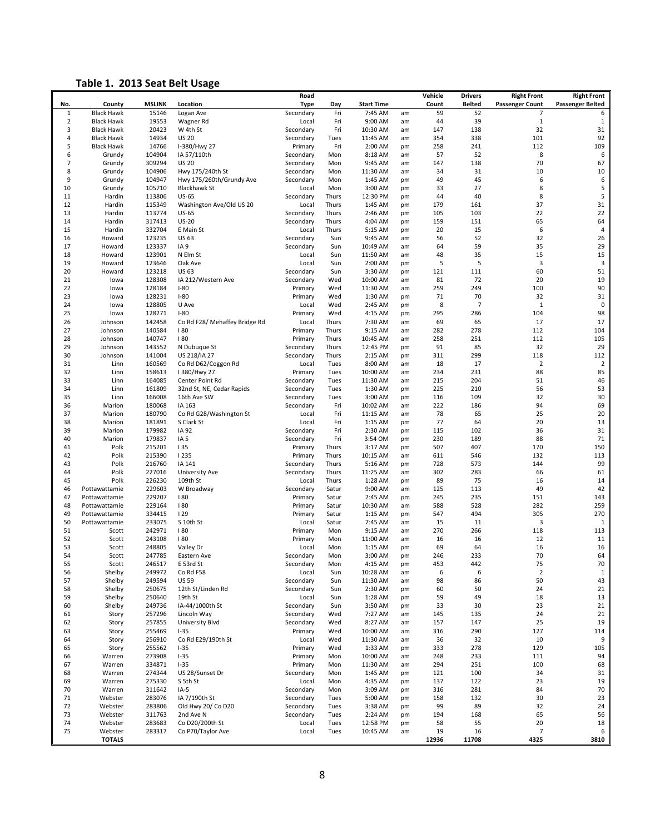### **Table 1. 2013 Seat Belt Usage**

| No.            | County            | <b>MSLINK</b>    | Location                                     | Road<br><b>Type</b>    | Day            | <b>Start Time</b>   |          | Vehicle<br>Count | <b>Drivers</b><br><b>Belted</b> | <b>Right Front</b><br><b>Passenger Count</b> | <b>Right Front</b><br><b>Passenger Belted</b> |
|----------------|-------------------|------------------|----------------------------------------------|------------------------|----------------|---------------------|----------|------------------|---------------------------------|----------------------------------------------|-----------------------------------------------|
| $\mathbf{1}$   | <b>Black Hawk</b> | 15146            | Logan Ave                                    | Secondary              | Fri            | 7:45 AM             | am       | 59               | 52                              | 7                                            | 6                                             |
| $\overline{2}$ | <b>Black Hawk</b> | 19553            | Wagner Rd                                    | Local                  | Fri            | 9:00 AM             | am       | 44               | 39                              | $\mathbf 1$                                  | $\mathbf{1}$                                  |
| 3              | <b>Black Hawk</b> | 20423            | W 4th St                                     | Secondary              | Fri            | 10:30 AM            | am       | 147              | 138                             | 32                                           | 31                                            |
| $\overline{4}$ | <b>Black Hawk</b> | 14934            | <b>US 20</b>                                 | Secondary              | Tues           | 11:45 AM            | am       | 354              | 338                             | 101                                          | 92                                            |
| 5              | <b>Black Hawk</b> | 14766            | I-380/Hwy 27                                 | Primary                | Fri            | 2:00 AM             | pm       | 258              | 241                             | 112                                          | 109                                           |
| 6<br>7         | Grundy<br>Grundy  | 104904<br>309294 | IA 57/110th<br><b>US 20</b>                  | Secondary<br>Secondary | Mon<br>Mon     | 8:18 AM<br>9:45 AM  | am<br>am | 57<br>147        | 52<br>138                       | 8<br>70                                      | 6<br>67                                       |
| 8              | Grundy            | 104906           | Hwy 175/240th St                             | Secondary              | Mon            | 11:30 AM            | am       | 34               | 31                              | 10                                           | 10                                            |
| 9              | Grundy            | 104947           | Hwy 175/260th/Grundy Ave                     | Secondary              | Mon            | 1:45 AM             | pm       | 49               | 45                              | 6                                            | 6                                             |
| 10             | Grundy            | 105710           | <b>Blackhawk St</b>                          | Local                  | Mon            | 3:00 AM             | pm       | 33               | 27                              | 8                                            | 5                                             |
| 11             | Hardin            | 113806           | <b>US-65</b>                                 | Secondary              | Thurs          | 12:30 PM            | pm       | 44               | 40                              | 8                                            | 5                                             |
| 12             | Hardin            | 115349           | Washington Ave/Old US 20                     | Local                  | Thurs          | 1:45 AM             | pm       | 179              | 161                             | 37                                           | 31                                            |
| 13             | Hardin            | 113774           | <b>US-65</b>                                 | Secondary              | Thurs          | 2:46 AM             | pm       | 105              | 103                             | 22                                           | 22                                            |
| 14<br>15       | Hardin            | 317413           | $US-20$<br>E Main St                         | Secondary              | Thurs          | 4:04 AM             | pm       | 159              | 151                             | 65<br>6                                      | 64<br>4                                       |
| 16             | Hardin<br>Howard  | 332704<br>123235 | <b>US 63</b>                                 | Local<br>Secondary     | Thurs<br>Sun   | 5:15 AM<br>9:45 AM  | pm<br>am | 20<br>56         | 15<br>52                        | 32                                           | 26                                            |
| 17             | Howard            | 123337           | IA <sub>9</sub>                              | Secondary              | Sun            | 10:49 AM            | am       | 64               | 59                              | 35                                           | 29                                            |
| 18             | Howard            | 123901           | N Elm St                                     | Local                  | Sun            | 11:50 AM            | am       | 48               | 35                              | 15                                           | 15                                            |
| 19             | Howard            | 123646           | Oak Ave                                      | Local                  | Sun            | 2:00 AM             | pm       | 5                | 5                               | $\overline{3}$                               | 3                                             |
| 20             | Howard            | 123218           | <b>US 63</b>                                 | Secondary              | Sun            | 3:30 AM             | pm       | 121              | 111                             | 60                                           | 51                                            |
| 21             | lowa              | 128308           | IA 212/Western Ave                           | Secondary              | Wed            | 10:00 AM            | am       | 81               | 72                              | 20                                           | 19                                            |
| 22             | lowa              | 128184           | $I-80$                                       | Primary                | Wed            | 11:30 AM            | am       | 259              | 249                             | 100                                          | 90                                            |
| 23<br>24       | lowa              | 128231           | $I-80$                                       | Primary                | Wed            | 1:30 AM             | pm       | 71               | 70<br>$\overline{7}$            | 32<br>$\mathbf{1}$                           | 31                                            |
| 25             | lowa<br>lowa      | 128805<br>128271 | U Ave<br>$I-80$                              | Local<br>Primary       | Wed<br>Wed     | 2:45 AM<br>4:15 AM  | pm<br>pm | 8<br>295         | 286                             | 104                                          | $\pmb{0}$<br>98                               |
| 26             | Johnson           | 142458           | Co Rd F28/ Mehaffey Bridge Rd                | Local                  | Thurs          | 7:30 AM             | am       | 69               | 65                              | 17                                           | 17                                            |
| 27             | Johnson           | 140584           | 180                                          | Primary                | Thurs          | 9:15 AM             | am       | 282              | 278                             | 112                                          | 104                                           |
| 28             | Johnson           | 140747           | 180                                          | Primary                | Thurs          | 10:45 AM            | am       | 258              | 251                             | 112                                          | 105                                           |
| 29             | Johnson           | 143552           | N Dubuque St                                 | Secondary              | Thurs          | 12:45 PM            | pm       | 91               | 85                              | 32                                           | 29                                            |
| 30             | Johnson           | 141004           | US 218/IA 27                                 | Secondary              | Thurs          | 2:15 AM             | pm       | 311              | 299                             | 118                                          | 112                                           |
| 31             | Linn              | 160569           | Co Rd D62/Coggon Rd                          | Local                  | Tues           | 8:00 AM             | am       | 18               | 17                              | $\overline{2}$                               | $\overline{2}$                                |
| 32             | Linn              | 158613           | I 380/Hwy 27                                 | Primary                | Tues           | 10:00 AM            | am       | 234              | 231                             | 88                                           | 85                                            |
| 33<br>34       | Linn<br>Linn      | 164085<br>161809 | Center Point Rd<br>32nd St, NE, Cedar Rapids | Secondary<br>Secondary | Tues           | 11:30 AM<br>1:30 AM | am       | 215<br>225       | 204<br>210                      | 51<br>56                                     | 46<br>53                                      |
| 35             | Linn              | 166008           | 16th Ave SW                                  | Secondary              | Tues<br>Tues   | 3:00 AM             | pm<br>pm | 116              | 109                             | 32                                           | 30                                            |
| 36             | Marion            | 180068           | IA 163                                       | Secondary              | Fri            | 10:02 AM            | am       | 222              | 186                             | 94                                           | 69                                            |
| 37             | Marion            | 180790           | Co Rd G28/Washington St                      | Local                  | Fri            | 11:15 AM            | am       | 78               | 65                              | 25                                           | 20                                            |
| 38             | Marion            | 181891           | S Clark St                                   | Local                  | Fri            | 1:15 AM             | pm       | 77               | 64                              | 20                                           | 13                                            |
| 39             | Marion            | 179982           | IA 92                                        | Secondary              | Fri            | 2:30 AM             | pm       | 115              | 102                             | 36                                           | 31                                            |
| 40             | Marion            | 179837           | IA <sub>5</sub>                              | Secondary              | Fri            | 3:54 OM             | pm       | 230              | 189                             | 88                                           | 71                                            |
| 41             | Polk              | 215201           | 135                                          | Primary                | Thurs          | 3:17 AM             | pm       | 507              | 407                             | 170                                          | 150                                           |
| 42<br>43       | Polk<br>Polk      | 215390<br>216760 | <b>1235</b><br>IA 141                        | Primary<br>Secondary   | Thurs<br>Thurs | 10:15 AM<br>5:16 AM | am<br>pm | 611<br>728       | 546<br>573                      | 132<br>144                                   | 113<br>99                                     |
| 44             | Polk              | 227016           | University Ave                               | Secondary              | Thurs          | 11:25 AM            | am       | 302              | 283                             | 66                                           | 61                                            |
| 45             | Polk              | 226230           | 109th St                                     | Local                  | Thurs          | 1:28 AM             | pm       | 89               | 75                              | 16                                           | 14                                            |
| 46             | Pottawattamie     | 229603           | W Broadway                                   | Secondary              | Satur          | 9:00 AM             | am       | 125              | 113                             | 49                                           | 42                                            |
| 47             | Pottawattamie     | 229207           | 180                                          | Primary                | Satur          | 2:45 AM             | pm       | 245              | 235                             | 151                                          | 143                                           |
| 48             | Pottawattamie     | 229164           | 180                                          | Primary                | Satur          | 10:30 AM            | am       | 588              | 528                             | 282                                          | 259                                           |
| 49             | Pottawattamie     | 334415           | 129                                          | Primary                | Satur          | 1:15 AM             | pm       | 547              | 494                             | 305                                          | 270                                           |
| 50             | Pottawattamie     | 233075           | S 10th St                                    | Local                  | Satur          | 7:45 AM             | am       | 15               | 11                              | 3                                            | $\mathbf{1}$                                  |
| 51<br>52       | Scott             | 242971<br>243108 | 180                                          | Primary                | Mon            | 9:15 AM             | am       | 270              | 266                             | 118<br>12                                    | 113                                           |
| 53             | Scott<br>Scott    | 248805           | 180<br>Valley Dr                             | Primary<br>Local       | Mon<br>Mon     | 11:00 AM<br>1:15 AM | am<br>pm | 16<br>69         | 16<br>64                        | 16                                           | 11<br>16                                      |
| 54             | Scott             | 247785           | Eastern Ave                                  | Secondary              | Mon            | 3:00 AM             | pm       | 246              | 233                             | 70                                           | 64                                            |
| 55             | Scott             | 246517           | E 53rd St                                    | Secondary              | Mon            | 4:15 AM             | pm       | 453              | 442                             | 75                                           | 70                                            |
| 56             | Shelby            | 249972           | Co Rd F58                                    | Local                  | Sun            | 10:28 AM            | am       | 6                | 6                               | $\overline{2}$                               | $\mathbf 1$                                   |
| 57             | Shelby            | 249594           | <b>US 59</b>                                 | Secondary              | Sun            | 11:30 AM            | am       | 98               | 86                              | 50                                           | 43                                            |
| 58             | Shelby            | 250675           | 12th St/Linden Rd                            | Secondary              | Sun            | 2:30 AM             | pm       | 60               | 50                              | 24                                           | 21                                            |
| 59             | Shelby            | 250640           | 19th St                                      | Local                  | Sun            | 1:28 AM             | pm       | 59               | 49                              | 18                                           | 13                                            |
| 60             | Shelby            | 249736           | IA-44/1000th St                              | Secondary              | Sun            | 3:50 AM             | pm       | 33               | 30                              | 23                                           | 21                                            |
| 61<br>62       | Story<br>Story    | 257296<br>257855 | Lincoln Way<br>University Blvd               | Secondary<br>Secondary | Wed<br>Wed     | 7:27 AM<br>8:27 AM  | am<br>am | 145<br>157       | 135<br>147                      | 24<br>25                                     | 21<br>19                                      |
| 63             | Story             | 255469           | $1 - 35$                                     | Primary                | Wed            | 10:00 AM            | am       | 316              | 290                             | 127                                          | 114                                           |
| 64             | Story             | 256910           | Co Rd E29/190th St                           | Local                  | Wed            | 11:30 AM            | am       | 36               | 32                              | 10                                           | 9                                             |
| 65             | Story             | 255562           | $1 - 35$                                     | Primary                | Wed            | 1:33 AM             | pm       | 333              | 278                             | 129                                          | 105                                           |
| 66             | Warren            | 273908           | $1 - 35$                                     | Primary                | Mon            | 10:00 AM            | am       | 248              | 233                             | 111                                          | 94                                            |
| 67             | Warren            | 334871           | $1 - 35$                                     | Primary                | Mon            | 11:30 AM            | am       | 294              | 251                             | 100                                          | 68                                            |
| 68             | Warren            | 274344           | US 28/Sunset Dr                              | Secondary              | Mon            | 1:45 AM             | pm       | 121              | 100                             | 34                                           | 31                                            |
| 69             | Warren            | 275330           | S 5th St                                     | Local                  | Mon            | 4:35 AM             | pm       | 137              | 122                             | 23                                           | 19                                            |
| 70<br>71       | Warren<br>Webster | 311642<br>283076 | $IA-5$<br>IA 7/190th St                      | Secondary<br>Secondary | Mon            | 3:09 AM             | pm       | 316              | 281<br>132                      | 84<br>30                                     | 70<br>23                                      |
| 72             | Webster           | 283806           | Old Hwy 20/ Co D20                           | Secondary              | Tues<br>Tues   | 5:00 AM<br>3:38 AM  | pm<br>pm | 158<br>99        | 89                              | 32                                           | 24                                            |
| 73             | Webster           | 311763           | 2nd Ave N                                    | Secondary              | Tues           | 2:24 AM             | pm       | 194              | 168                             | 65                                           | 56                                            |
| 74             | Webster           | 283683           | Co D20/200th St                              | Local                  | Tues           | 12:58 PM            | pm       | 58               | 55                              | 20                                           | 18                                            |
| 75             | Webster           | 283317           | Co P70/Taylor Ave                            | Local                  | Tues           | 10:45 AM            | am       | 19               | 16                              | 7                                            | 6                                             |
|                | <b>TOTALS</b>     |                  |                                              |                        |                |                     |          | 12936            | 11708                           | 4325                                         | 3810                                          |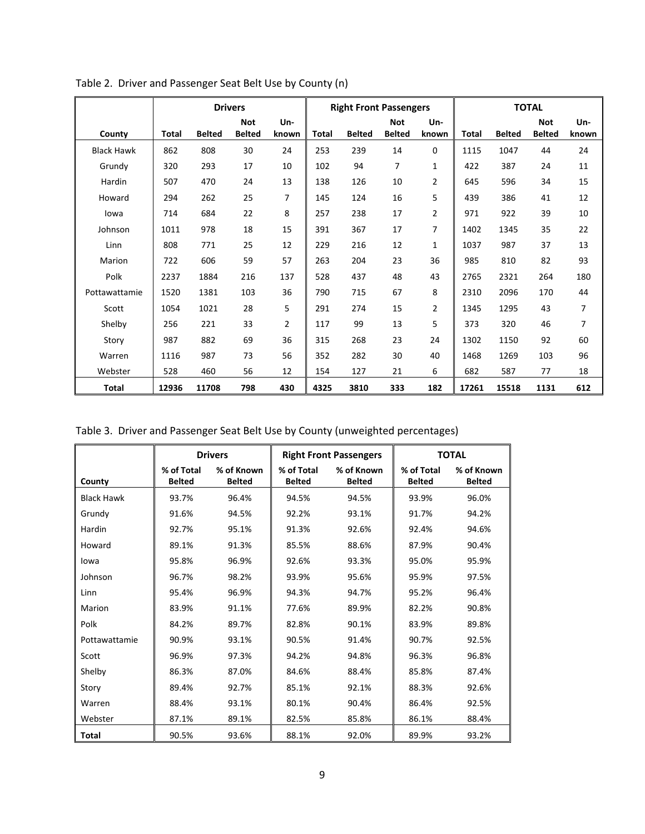|                   | <b>Drivers</b> |               |                             |                |       | <b>Right Front Passengers</b> |                             |              | <b>TOTAL</b> |               |                             |              |
|-------------------|----------------|---------------|-----------------------------|----------------|-------|-------------------------------|-----------------------------|--------------|--------------|---------------|-----------------------------|--------------|
| County            | Total          | <b>Belted</b> | <b>Not</b><br><b>Belted</b> | Un-<br>known   | Total | <b>Belted</b>                 | <b>Not</b><br><b>Belted</b> | Un-<br>known | Total        | <b>Belted</b> | <b>Not</b><br><b>Belted</b> | Un-<br>known |
| <b>Black Hawk</b> | 862            | 808           | 30                          | 24             | 253   | 239                           | 14                          | 0            | 1115         | 1047          | 44                          | 24           |
| Grundy            | 320            | 293           | 17                          | 10             | 102   | 94                            | $\overline{7}$              | 1            | 422          | 387           | 24                          | 11           |
| Hardin            | 507            | 470           | 24                          | 13             | 138   | 126                           | 10                          | 2            | 645          | 596           | 34                          | 15           |
| Howard            | 294            | 262           | 25                          | 7              | 145   | 124                           | 16                          | 5            | 439          | 386           | 41                          | 12           |
| lowa              | 714            | 684           | 22                          | 8              | 257   | 238                           | 17                          | 2            | 971          | 922           | 39                          | 10           |
| Johnson           | 1011           | 978           | 18                          | 15             | 391   | 367                           | 17                          | 7            | 1402         | 1345          | 35                          | 22           |
| Linn              | 808            | 771           | 25                          | 12             | 229   | 216                           | 12                          | 1            | 1037         | 987           | 37                          | 13           |
| Marion            | 722            | 606           | 59                          | 57             | 263   | 204                           | 23                          | 36           | 985          | 810           | 82                          | 93           |
| Polk              | 2237           | 1884          | 216                         | 137            | 528   | 437                           | 48                          | 43           | 2765         | 2321          | 264                         | 180          |
| Pottawattamie     | 1520           | 1381          | 103                         | 36             | 790   | 715                           | 67                          | 8            | 2310         | 2096          | 170                         | 44           |
| Scott             | 1054           | 1021          | 28                          | 5              | 291   | 274                           | 15                          | 2            | 1345         | 1295          | 43                          | 7            |
| Shelby            | 256            | 221           | 33                          | $\overline{2}$ | 117   | 99                            | 13                          | 5            | 373          | 320           | 46                          | 7            |
| Story             | 987            | 882           | 69                          | 36             | 315   | 268                           | 23                          | 24           | 1302         | 1150          | 92                          | 60           |
| Warren            | 1116           | 987           | 73                          | 56             | 352   | 282                           | 30                          | 40           | 1468         | 1269          | 103                         | 96           |
| Webster           | 528            | 460           | 56                          | 12             | 154   | 127                           | 21                          | 6            | 682          | 587           | 77                          | 18           |
| Total             | 12936          | 11708         | 798                         | 430            | 4325  | 3810                          | 333                         | 182          | 17261        | 15518         | 1131                        | 612          |

Table 2. Driver and Passenger Seat Belt Use by County (n)

|  |  |  | Table 3. Driver and Passenger Seat Belt Use by County (unweighted percentages) |  |
|--|--|--|--------------------------------------------------------------------------------|--|
|--|--|--|--------------------------------------------------------------------------------|--|

|                   |                             | <b>Drivers</b>              |                             | <b>Right Front Passengers</b> |                             | <b>TOTAL</b>                |
|-------------------|-----------------------------|-----------------------------|-----------------------------|-------------------------------|-----------------------------|-----------------------------|
| County            | % of Total<br><b>Belted</b> | % of Known<br><b>Belted</b> | % of Total<br><b>Belted</b> | % of Known<br><b>Belted</b>   | % of Total<br><b>Belted</b> | % of Known<br><b>Belted</b> |
| <b>Black Hawk</b> | 93.7%                       | 96.4%                       | 94.5%                       | 94.5%                         | 93.9%                       | 96.0%                       |
| Grundy            | 91.6%                       | 94.5%                       | 92.2%                       | 93.1%                         | 91.7%                       | 94.2%                       |
| Hardin            | 92.7%                       | 95.1%                       | 91.3%                       | 92.6%                         | 92.4%                       | 94.6%                       |
| Howard            | 89.1%                       | 91.3%                       | 85.5%                       | 88.6%                         | 87.9%                       | 90.4%                       |
| lowa              | 95.8%                       | 96.9%                       | 92.6%                       | 93.3%                         | 95.0%                       | 95.9%                       |
| Johnson           | 96.7%                       | 98.2%                       | 93.9%                       | 95.6%                         | 95.9%                       | 97.5%                       |
| Linn              | 95.4%                       | 96.9%                       | 94.3%                       | 94.7%                         | 95.2%                       | 96.4%                       |
| Marion            | 83.9%                       | 91.1%                       | 77.6%                       | 89.9%                         | 82.2%                       | 90.8%                       |
| Polk              | 84.2%                       | 89.7%                       | 82.8%                       | 90.1%                         | 83.9%                       | 89.8%                       |
| Pottawattamie     | 90.9%                       | 93.1%                       | 90.5%                       | 91.4%                         | 90.7%                       | 92.5%                       |
| Scott             | 96.9%                       | 97.3%                       | 94.2%                       | 94.8%                         | 96.3%                       | 96.8%                       |
| Shelby            | 86.3%                       | 87.0%                       | 84.6%                       | 88.4%                         | 85.8%                       | 87.4%                       |
| Story             | 89.4%                       | 92.7%                       | 85.1%                       | 92.1%                         | 88.3%                       | 92.6%                       |
| Warren            | 88.4%                       | 93.1%                       | 80.1%                       | 90.4%                         | 86.4%                       | 92.5%                       |
| Webster           | 87.1%                       | 89.1%                       | 82.5%                       | 85.8%                         | 86.1%                       | 88.4%                       |
| Total             | 90.5%                       | 93.6%                       | 88.1%                       | 92.0%                         | 89.9%                       | 93.2%                       |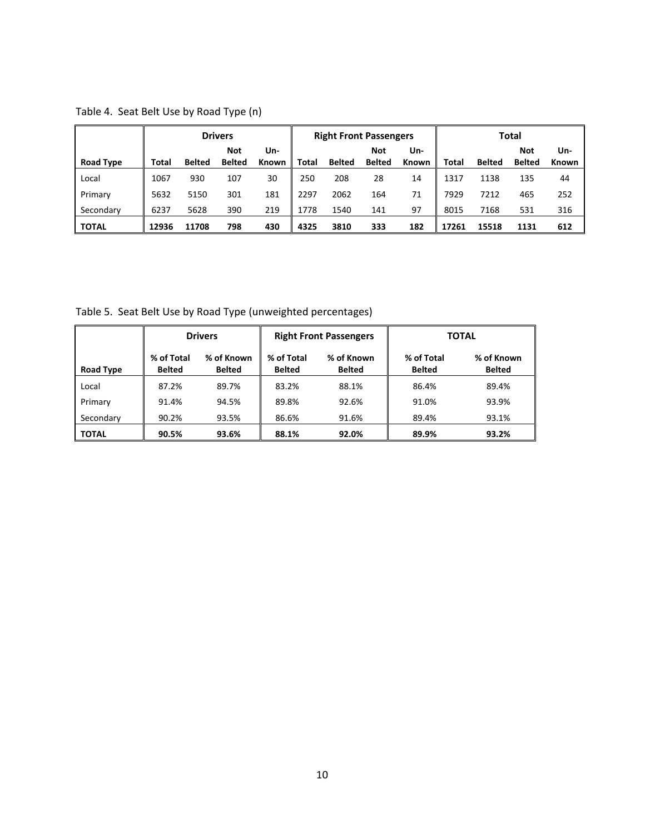Table 4. Seat Belt Use by Road Type (n)

|              | <b>Drivers</b> |               |                             | <b>Right Front Passengers</b> |              |               |                      | Total        |       |               |                             |                     |
|--------------|----------------|---------------|-----------------------------|-------------------------------|--------------|---------------|----------------------|--------------|-------|---------------|-----------------------------|---------------------|
| Road Type    | Total          | <b>Belted</b> | <b>Not</b><br><b>Belted</b> | Un-<br><b>Known</b>           | <b>Total</b> | <b>Belted</b> | Not<br><b>Belted</b> | Un-<br>Known | Total | <b>Belted</b> | <b>Not</b><br><b>Belted</b> | Un-<br><b>Known</b> |
| Local        | 1067           | 930           | 107                         | 30                            | 250          | 208           | 28                   | 14           | 1317  | 1138          | 135                         | 44                  |
| Primary      | 5632           | 5150          | 301                         | 181                           | 2297         | 2062          | 164                  | 71           | 7929  | 7212          | 465                         | 252                 |
| Secondary    | 6237           | 5628          | 390                         | 219                           | 1778         | 1540          | 141                  | 97           | 8015  | 7168          | 531                         | 316                 |
| <b>TOTAL</b> | 12936          | 11708         | 798                         | 430                           | 4325         | 3810          | 333                  | 182          | 17261 | 15518         | 1131                        | 612                 |

Table 5. Seat Belt Use by Road Type (unweighted percentages)

|              | <b>Drivers</b>              |                             |                             | <b>Right Front Passengers</b> | <b>TOTAL</b>                |                             |  |
|--------------|-----------------------------|-----------------------------|-----------------------------|-------------------------------|-----------------------------|-----------------------------|--|
| Road Type    | % of Total<br><b>Belted</b> | % of Known<br><b>Belted</b> | % of Total<br><b>Belted</b> | % of Known<br><b>Belted</b>   | % of Total<br><b>Belted</b> | % of Known<br><b>Belted</b> |  |
| Local        | 87.2%                       | 89.7%                       | 83.2%                       | 88.1%                         | 86.4%                       | 89.4%                       |  |
| Primary      | 91.4%                       | 94.5%                       | 89.8%                       | 92.6%                         | 91.0%                       | 93.9%                       |  |
| Secondary    | 90.2%                       | 93.5%                       | 86.6%                       | 91.6%                         | 89.4%                       | 93.1%                       |  |
| <b>TOTAL</b> | 90.5%                       | 93.6%                       | 88.1%                       | 92.0%                         | 89.9%                       | 93.2%                       |  |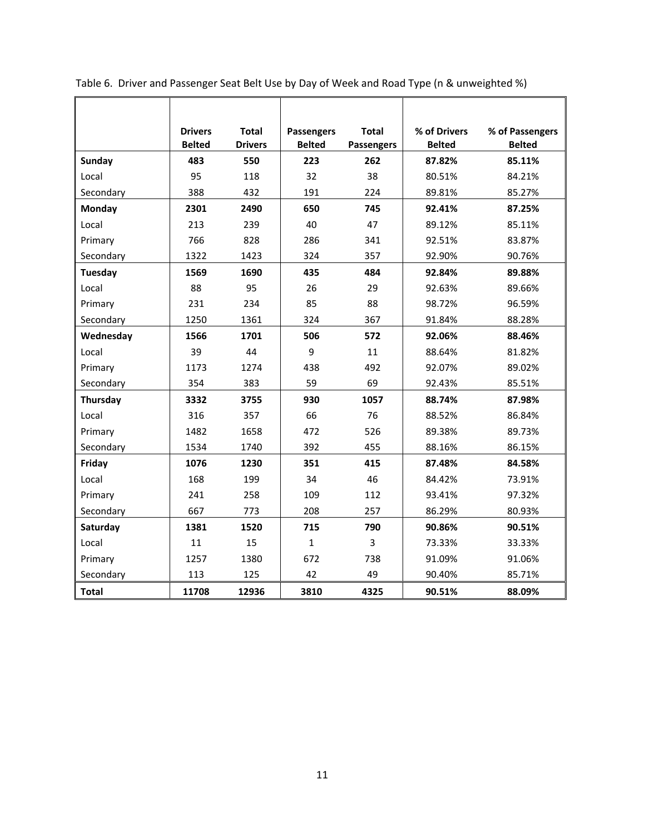|              | <b>Drivers</b><br><b>Belted</b> | <b>Total</b><br><b>Drivers</b> | <b>Passengers</b><br><b>Belted</b> | <b>Total</b> | % of Drivers<br><b>Belted</b> | % of Passengers<br><b>Belted</b> |
|--------------|---------------------------------|--------------------------------|------------------------------------|--------------|-------------------------------|----------------------------------|
|              |                                 |                                |                                    | Passengers   |                               |                                  |
| Sunday       | 483                             | 550                            | 223                                | 262          | 87.82%                        | 85.11%                           |
| Local        | 95                              | 118                            | 32                                 | 38           | 80.51%                        | 84.21%                           |
| Secondary    | 388                             | 432                            | 191                                | 224          | 89.81%                        | 85.27%                           |
| Monday       | 2301                            | 2490                           | 650                                | 745          | 92.41%                        | 87.25%                           |
| Local        | 213                             | 239                            | 40                                 | 47           | 89.12%                        | 85.11%                           |
| Primary      | 766                             | 828                            | 286                                | 341          | 92.51%                        | 83.87%                           |
| Secondary    | 1322                            | 1423                           | 324                                | 357          | 92.90%                        | 90.76%                           |
| Tuesday      | 1569                            | 1690                           | 435                                | 484          | 92.84%                        | 89.88%                           |
| Local        | 88                              | 95                             | 26                                 | 29           | 92.63%                        | 89.66%                           |
| Primary      | 231                             | 234                            | 85                                 | 88           | 98.72%                        | 96.59%                           |
| Secondary    | 1250                            | 1361                           | 324                                | 367          | 91.84%                        | 88.28%                           |
| Wednesday    | 1566                            | 1701                           | 506                                | 572          | 92.06%                        | 88.46%                           |
| Local        | 39                              | 44                             | 9                                  | 11           | 88.64%                        | 81.82%                           |
| Primary      | 1173                            | 1274                           | 438                                | 492          | 92.07%                        | 89.02%                           |
| Secondary    | 354                             | 383                            | 59                                 | 69           | 92.43%                        | 85.51%                           |
| Thursday     | 3332                            | 3755                           | 930                                | 1057         | 88.74%                        | 87.98%                           |
| Local        | 316                             | 357                            | 66                                 | 76           | 88.52%                        | 86.84%                           |
| Primary      | 1482                            | 1658                           | 472                                | 526          | 89.38%                        | 89.73%                           |
| Secondary    | 1534                            | 1740                           | 392                                | 455          | 88.16%                        | 86.15%                           |
| Friday       | 1076                            | 1230                           | 351                                | 415          | 87.48%                        | 84.58%                           |
| Local        | 168                             | 199                            | 34                                 | 46           | 84.42%                        | 73.91%                           |
| Primary      | 241                             | 258                            | 109                                | 112          | 93.41%                        | 97.32%                           |
| Secondary    | 667                             | 773                            | 208                                | 257          | 86.29%                        | 80.93%                           |
| Saturday     | 1381                            | 1520                           | 715                                | 790          | 90.86%                        | 90.51%                           |
| Local        | 11                              | 15                             | $\mathbf{1}$                       | 3            | 73.33%                        | 33.33%                           |
| Primary      | 1257                            | 1380                           | 672                                | 738          | 91.09%                        | 91.06%                           |
| Secondary    | 113                             | 125                            | 42                                 | 49           | 90.40%                        | 85.71%                           |
| <b>Total</b> | 11708                           | 12936                          | 3810                               | 4325         | 90.51%                        | 88.09%                           |

Table 6. Driver and Passenger Seat Belt Use by Day of Week and Road Type (n & unweighted %)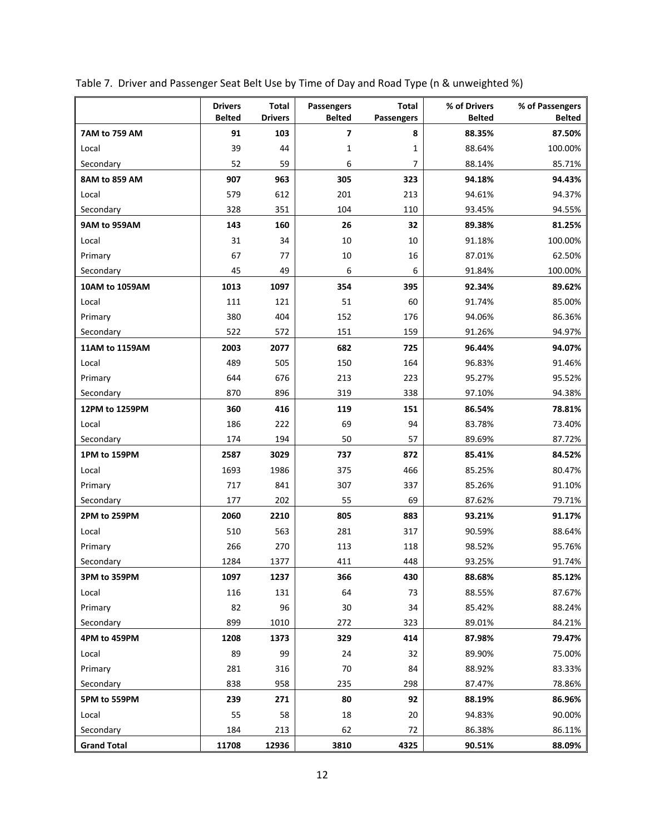|                    | <b>Drivers</b><br><b>Belted</b> | Total<br><b>Drivers</b> | Passengers<br><b>Belted</b> | Total<br>Passengers | % of Drivers<br><b>Belted</b> | % of Passengers<br><b>Belted</b> |
|--------------------|---------------------------------|-------------------------|-----------------------------|---------------------|-------------------------------|----------------------------------|
| 7AM to 759 AM      | 91                              | 103                     | $\overline{\mathbf{z}}$     | 8                   | 88.35%                        | 87.50%                           |
| Local              | 39                              | 44                      | $\mathbf 1$                 | 1                   | 88.64%                        | 100.00%                          |
| Secondary          | 52                              | 59                      | 6                           | 7                   | 88.14%                        | 85.71%                           |
| 8AM to 859 AM      | 907                             | 963                     | 305                         | 323                 | 94.18%                        | 94.43%                           |
| Local              | 579                             | 612                     | 201                         | 213                 | 94.61%                        | 94.37%                           |
| Secondary          | 328                             | 351                     | 104                         | 110                 | 93.45%                        | 94.55%                           |
| 9AM to 959AM       | 143                             | 160                     | 26                          | 32                  | 89.38%                        | 81.25%                           |
| Local              | 31                              | 34                      | 10                          | 10                  | 91.18%                        | 100.00%                          |
| Primary            | 67                              | 77                      | 10                          | 16                  | 87.01%                        | 62.50%                           |
| Secondary          | 45                              | 49                      | 6                           | 6                   | 91.84%                        | 100.00%                          |
| 10AM to 1059AM     | 1013                            | 1097                    | 354                         | 395                 | 92.34%                        | 89.62%                           |
| Local              | 111                             | 121                     | 51                          | 60                  | 91.74%                        | 85.00%                           |
| Primary            | 380                             | 404                     | 152                         | 176                 | 94.06%                        | 86.36%                           |
| Secondary          | 522                             | 572                     | 151                         | 159                 | 91.26%                        | 94.97%                           |
| 11AM to 1159AM     | 2003                            | 2077                    | 682                         | 725                 | 96.44%                        | 94.07%                           |
| Local              | 489                             | 505                     | 150                         | 164                 | 96.83%                        | 91.46%                           |
| Primary            | 644                             | 676                     | 213                         | 223                 | 95.27%                        | 95.52%                           |
| Secondary          | 870                             | 896                     | 319                         | 338                 | 97.10%                        | 94.38%                           |
| 12PM to 1259PM     | 360                             | 416                     | 119                         | 151                 | 86.54%                        | 78.81%                           |
| Local              | 186                             | 222                     | 69                          | 94                  | 83.78%                        | 73.40%                           |
| Secondary          | 174                             | 194                     | 50                          | 57                  | 89.69%                        | 87.72%                           |
| 1PM to 159PM       | 2587                            | 3029                    | 737                         | 872                 | 85.41%                        | 84.52%                           |
| Local              | 1693                            | 1986                    | 375                         | 466                 | 85.25%                        | 80.47%                           |
| Primary            | 717                             | 841                     | 307                         | 337                 | 85.26%                        | 91.10%                           |
| Secondary          | 177                             | 202                     | 55                          | 69                  | 87.62%                        | 79.71%                           |
| 2PM to 259PM       | 2060                            | 2210                    | 805                         | 883                 | 93.21%                        | 91.17%                           |
| Local              | 510                             | 563                     | 281                         | 317                 | 90.59%                        | 88.64%                           |
| Primary            | 266                             | 270                     | 113                         | 118                 | 98.52%                        | 95.76%                           |
| Secondary          | 1284                            | 1377                    | 411                         | 448                 | 93.25%                        | 91.74%                           |
| 3PM to 359PM       | 1097                            | 1237                    | 366                         | 430                 | 88.68%                        | 85.12%                           |
| Local              | 116                             | 131                     | 64                          | 73                  | 88.55%                        | 87.67%                           |
| Primary            | 82                              | 96                      | $30\,$                      | 34                  | 85.42%                        | 88.24%                           |
| Secondary          | 899                             | 1010                    | 272                         | 323                 | 89.01%                        | 84.21%                           |
| 4PM to 459PM       | 1208                            | 1373                    | 329                         | 414                 | 87.98%                        | 79.47%                           |
| Local              | 89                              | 99                      | 24                          | 32                  | 89.90%                        | 75.00%                           |
| Primary            | 281                             | 316                     | 70                          | 84                  | 88.92%                        | 83.33%                           |
| Secondary          | 838                             | 958                     | 235                         | 298                 | 87.47%                        | 78.86%                           |
| 5PM to 559PM       | 239                             | 271                     | 80                          | 92                  | 88.19%                        | 86.96%                           |
| Local              | 55                              | 58                      | 18                          | 20                  | 94.83%                        | 90.00%                           |
| Secondary          | 184                             | 213                     | 62                          | 72                  | 86.38%                        | 86.11%                           |
| <b>Grand Total</b> | 11708                           | 12936                   | 3810                        | 4325                | 90.51%                        | 88.09%                           |

|  |  |  | Table 7. Driver and Passenger Seat Belt Use by Time of Day and Road Type (n & unweighted %) |
|--|--|--|---------------------------------------------------------------------------------------------|
|  |  |  |                                                                                             |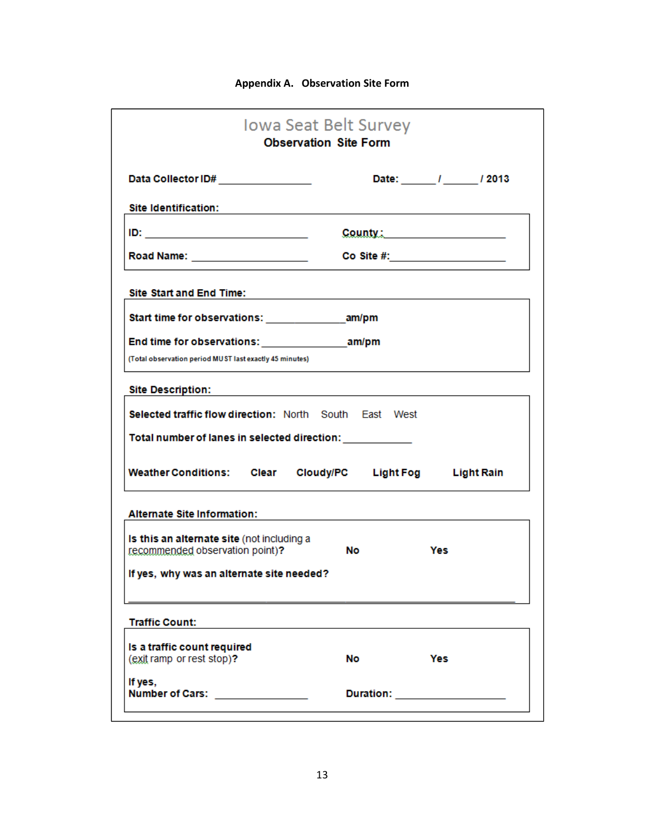# **Appendix A. Observation Site Form**

|                                                                                                                                                                                                                                | <b>Iowa Seat Belt Survey</b><br><b>Observation Site Form</b> |                                 |
|--------------------------------------------------------------------------------------------------------------------------------------------------------------------------------------------------------------------------------|--------------------------------------------------------------|---------------------------------|
| Data Collector ID# _______________                                                                                                                                                                                             |                                                              | Date: _______/ ______/ 2013     |
| Site Identification:                                                                                                                                                                                                           |                                                              |                                 |
| <u>ID: _________________________</u>                                                                                                                                                                                           |                                                              | County: 2008                    |
| Road Name: Name and South Area and South Area and Area and Area and Area and Area and Area and Area and Area and Area and Area and Area and Area and Area and Area and Area and Area and Area and Area and Area and Area and A |                                                              | Co Site #: ____________________ |
| <b>Site Start and End Time:</b>                                                                                                                                                                                                |                                                              |                                 |
| Start time for observations: _______________________am/pm                                                                                                                                                                      |                                                              |                                 |
| End time for observations: The am/pm                                                                                                                                                                                           |                                                              |                                 |
| (Total observation period MUST last exactly 45 minutes)                                                                                                                                                                        |                                                              |                                 |
| <b>Site Description:</b>                                                                                                                                                                                                       |                                                              |                                 |
| Selected traffic flow direction: North South East West                                                                                                                                                                         |                                                              |                                 |
| Total number of lanes in selected direction: ____________                                                                                                                                                                      |                                                              |                                 |
| Weather Conditions: Clear Cloudy/PC Light Fog Light Rain                                                                                                                                                                       |                                                              |                                 |
| <b>Alternate Site Information:</b>                                                                                                                                                                                             |                                                              |                                 |
| Is this an alternate site (not including a<br>recommended observation point)?                                                                                                                                                  | No                                                           | Yes                             |
| If yes, why was an alternate site needed?                                                                                                                                                                                      |                                                              |                                 |
| <b>Traffic Count:</b>                                                                                                                                                                                                          |                                                              |                                 |
| Is a traffic count required<br>(exit ramp or rest stop)?                                                                                                                                                                       | No                                                           | Yes                             |
|                                                                                                                                                                                                                                |                                                              |                                 |